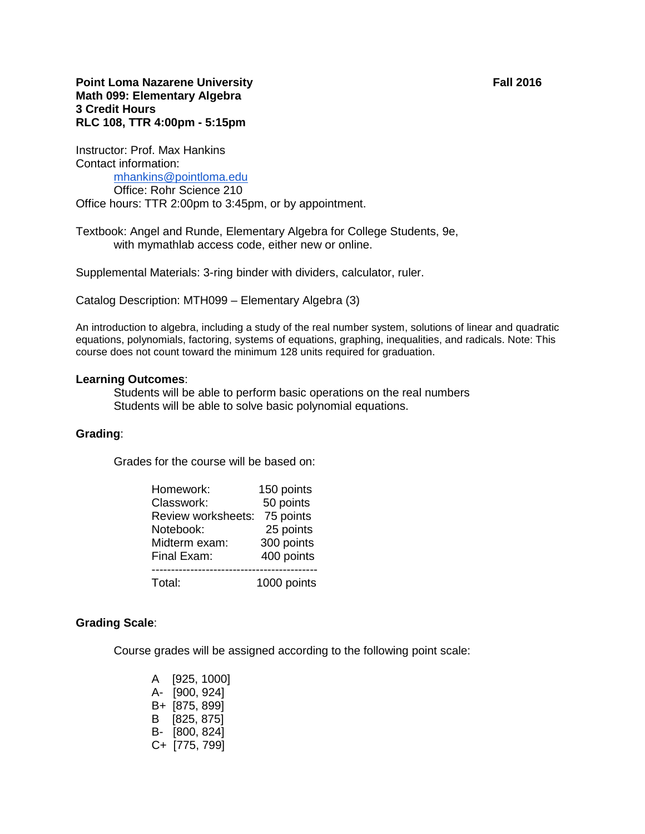# **Point Loma Nazarene University Fall 2016 Math 099: Elementary Algebra 3 Credit Hours RLC 108, TTR 4:00pm - 5:15pm**

Instructor: Prof. Max Hankins Contact information: [mhankins@pointloma.edu](mailto:mhankins@pointloma.edu) Office: Rohr Science 210

Office hours: TTR 2:00pm to 3:45pm, or by appointment.

Textbook: Angel and Runde, Elementary Algebra for College Students, 9e, with mymathlab access code, either new or online.

Supplemental Materials: 3-ring binder with dividers, calculator, ruler.

Catalog Description: MTH099 – Elementary Algebra (3)

An introduction to algebra, including a study of the real number system, solutions of linear and quadratic equations, polynomials, factoring, systems of equations, graphing, inequalities, and radicals. Note: This course does not count toward the minimum 128 units required for graduation.

### **Learning Outcomes**:

Students will be able to perform basic operations on the real numbers Students will be able to solve basic polynomial equations.

### **Grading**:

Grades for the course will be based on:

| Homework:          | 150 points  |
|--------------------|-------------|
| Classwork:         | 50 points   |
| Review worksheets: | 75 points   |
| Notebook:          | 25 points   |
| Midterm exam:      | 300 points  |
| Final Exam:        | 400 points  |
|                    |             |
| Total:             | 1000 points |

### **Grading Scale**:

Course grades will be assigned according to the following point scale:

| A  | [925, 1000]   |
|----|---------------|
| А- | [900, 924]    |
| B+ | [875, 899]    |
| В  | [825, 875]    |
| в- | [800, 824]    |
|    | C+ [775, 799] |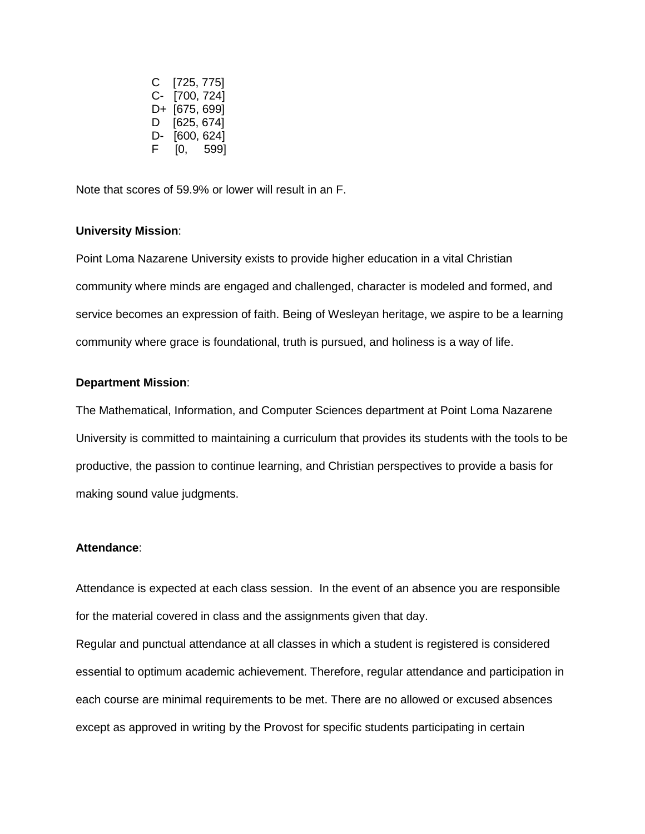C [725, 775] C- [700, 724] D+ [675, 699] D [625, 674] D- [600, 624] F [0, 599]

Note that scores of 59.9% or lower will result in an F.

#### **University Mission**:

Point Loma Nazarene University exists to provide higher education in a vital Christian community where minds are engaged and challenged, character is modeled and formed, and service becomes an expression of faith. Being of Wesleyan heritage, we aspire to be a learning community where grace is foundational, truth is pursued, and holiness is a way of life.

## **Department Mission**:

The Mathematical, Information, and Computer Sciences department at Point Loma Nazarene University is committed to maintaining a curriculum that provides its students with the tools to be productive, the passion to continue learning, and Christian perspectives to provide a basis for making sound value judgments.

### **Attendance**:

Attendance is expected at each class session. In the event of an absence you are responsible for the material covered in class and the assignments given that day.

Regular and punctual attendance at all classes in which a student is registered is considered essential to optimum academic achievement. Therefore, regular attendance and participation in each course are minimal requirements to be met. There are no allowed or excused absences except as approved in writing by the Provost for specific students participating in certain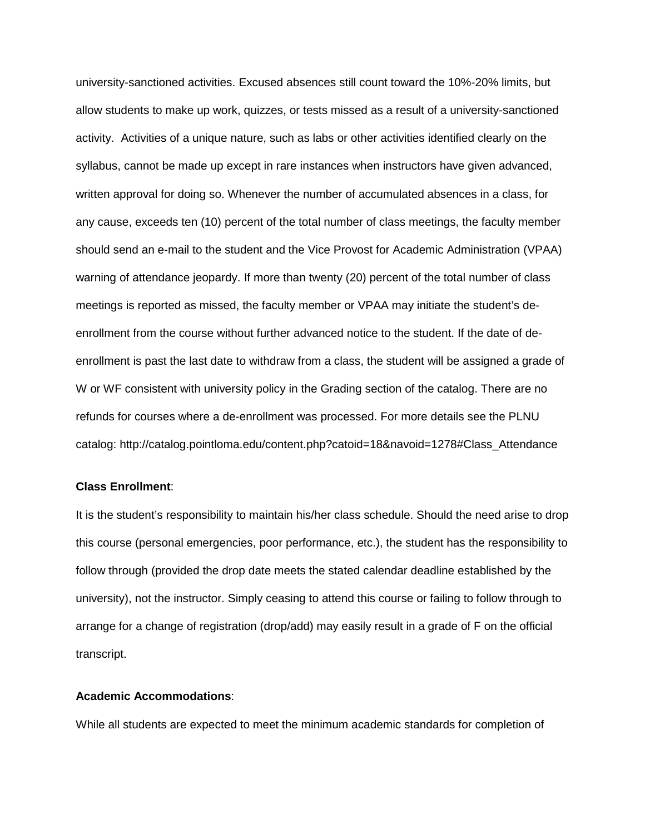university-sanctioned activities. Excused absences still count toward the 10%-20% limits, but allow students to make up work, quizzes, or tests missed as a result of a university-sanctioned activity. Activities of a unique nature, such as labs or other activities identified clearly on the syllabus, cannot be made up except in rare instances when instructors have given advanced, written approval for doing so. Whenever the number of accumulated absences in a class, for any cause, exceeds ten (10) percent of the total number of class meetings, the faculty member should send an e-mail to the student and the Vice Provost for Academic Administration (VPAA) warning of attendance jeopardy. If more than twenty (20) percent of the total number of class meetings is reported as missed, the faculty member or VPAA may initiate the student's deenrollment from the course without further advanced notice to the student. If the date of deenrollment is past the last date to withdraw from a class, the student will be assigned a grade of W or WF consistent with university policy in the Grading section of the catalog. There are no refunds for courses where a de-enrollment was processed. For more details see the PLNU catalog: http://catalog.pointloma.edu/content.php?catoid=18&navoid=1278#Class\_Attendance

### **Class Enrollment**:

It is the student's responsibility to maintain his/her class schedule. Should the need arise to drop this course (personal emergencies, poor performance, etc.), the student has the responsibility to follow through (provided the drop date meets the stated calendar deadline established by the university), not the instructor. Simply ceasing to attend this course or failing to follow through to arrange for a change of registration (drop/add) may easily result in a grade of F on the official transcript.

# **Academic Accommodations**:

While all students are expected to meet the minimum academic standards for completion of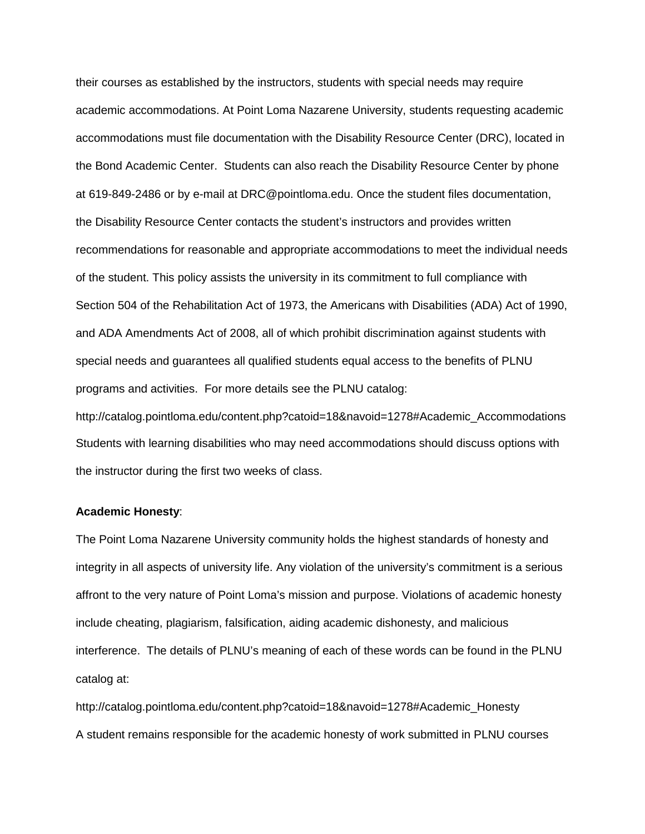their courses as established by the instructors, students with special needs may require academic accommodations. At Point Loma Nazarene University, students requesting academic accommodations must file documentation with the Disability Resource Center (DRC), located in the Bond Academic Center. Students can also reach the Disability Resource Center by phone at 619-849-2486 or by e-mail at DRC@pointloma.edu. Once the student files documentation, the Disability Resource Center contacts the student's instructors and provides written recommendations for reasonable and appropriate accommodations to meet the individual needs of the student. This policy assists the university in its commitment to full compliance with Section 504 of the Rehabilitation Act of 1973, the Americans with Disabilities (ADA) Act of 1990, and ADA Amendments Act of 2008, all of which prohibit discrimination against students with special needs and guarantees all qualified students equal access to the benefits of PLNU programs and activities. For more details see the PLNU catalog: http://catalog.pointloma.edu/content.php?catoid=18&navoid=1278#Academic\_Accommodations

Students with learning disabilities who may need accommodations should discuss options with the instructor during the first two weeks of class.

### **Academic Honesty**:

The Point Loma Nazarene University community holds the highest standards of honesty and integrity in all aspects of university life. Any violation of the university's commitment is a serious affront to the very nature of Point Loma's mission and purpose. Violations of academic honesty include cheating, plagiarism, falsification, aiding academic dishonesty, and malicious interference. The details of PLNU's meaning of each of these words can be found in the PLNU catalog at:

http://catalog.pointloma.edu/content.php?catoid=18&navoid=1278#Academic\_Honesty A student remains responsible for the academic honesty of work submitted in PLNU courses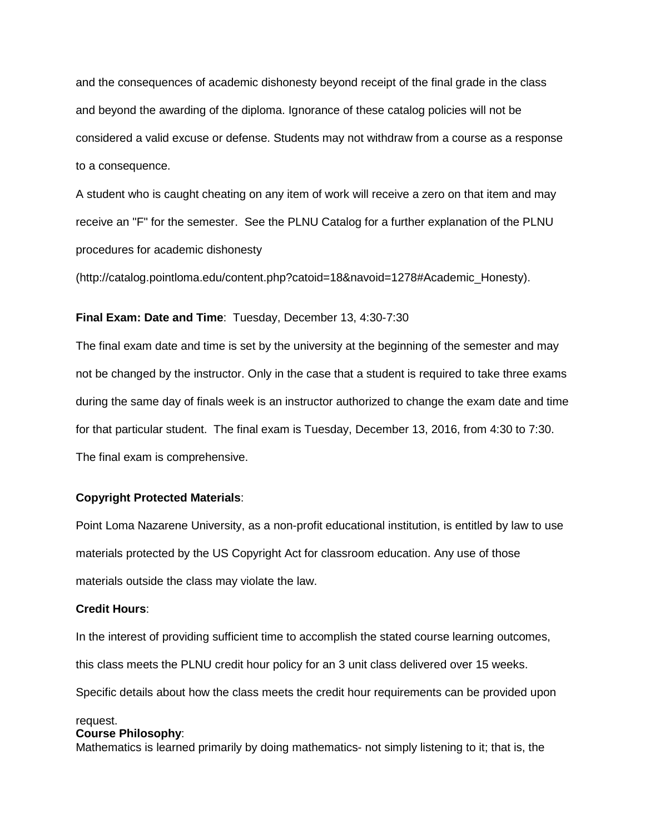and the consequences of academic dishonesty beyond receipt of the final grade in the class and beyond the awarding of the diploma. Ignorance of these catalog policies will not be considered a valid excuse or defense. Students may not withdraw from a course as a response to a consequence.

A student who is caught cheating on any item of work will receive a zero on that item and may receive an "F" for the semester. See the PLNU Catalog for a further explanation of the PLNU procedures for academic dishonesty

(http://catalog.pointloma.edu/content.php?catoid=18&navoid=1278#Academic\_Honesty).

## **Final Exam: Date and Time**: Tuesday, December 13, 4:30-7:30

The final exam date and time is set by the university at the beginning of the semester and may not be changed by the instructor. Only in the case that a student is required to take three exams during the same day of finals week is an instructor authorized to change the exam date and time for that particular student. The final exam is Tuesday, December 13, 2016, from 4:30 to 7:30. The final exam is comprehensive.

## **Copyright Protected Materials**:

Point Loma Nazarene University, as a non-profit educational institution, is entitled by law to use materials protected by the US Copyright Act for classroom education. Any use of those materials outside the class may violate the law.

# **Credit Hours**:

In the interest of providing sufficient time to accomplish the stated course learning outcomes, this class meets the PLNU credit hour policy for an 3 unit class delivered over 15 weeks.

Specific details about how the class meets the credit hour requirements can be provided upon

# request.

## **Course Philosophy**:

Mathematics is learned primarily by doing mathematics- not simply listening to it; that is, the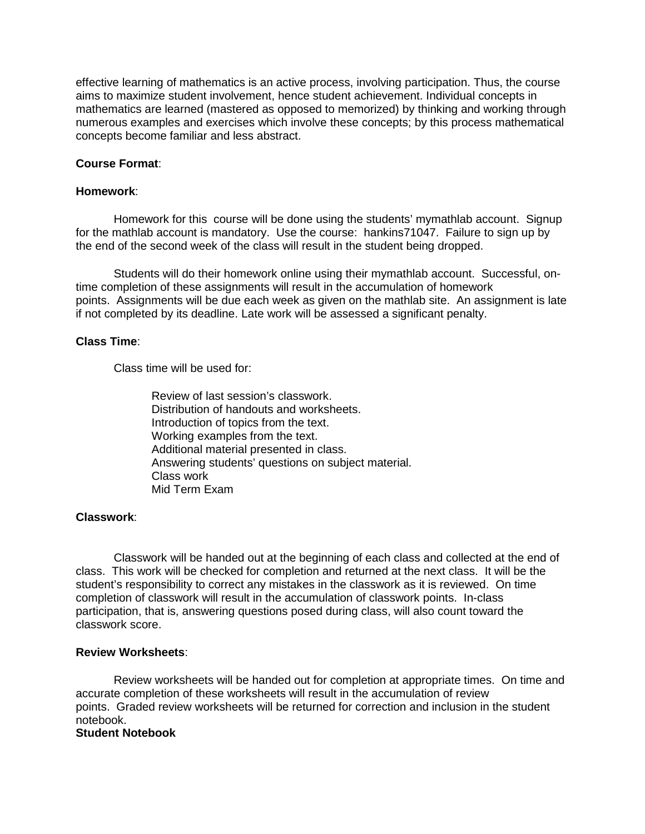effective learning of mathematics is an active process, involving participation. Thus, the course aims to maximize student involvement, hence student achievement. Individual concepts in mathematics are learned (mastered as opposed to memorized) by thinking and working through numerous examples and exercises which involve these concepts; by this process mathematical concepts become familiar and less abstract.

# **Course Format**:

# **Homework**:

Homework for this course will be done using the students' mymathlab account. Signup for the mathlab account is mandatory. Use the course: hankins71047. Failure to sign up by the end of the second week of the class will result in the student being dropped.

Students will do their homework online using their mymathlab account. Successful, ontime completion of these assignments will result in the accumulation of homework points. Assignments will be due each week as given on the mathlab site. An assignment is late if not completed by its deadline. Late work will be assessed a significant penalty.

# **Class Time**:

Class time will be used for:

Review of last session's classwork. Distribution of handouts and worksheets. Introduction of topics from the text. Working examples from the text. Additional material presented in class. Answering students' questions on subject material. Class work Mid Term Exam

# **Classwork**:

Classwork will be handed out at the beginning of each class and collected at the end of class. This work will be checked for completion and returned at the next class. It will be the student's responsibility to correct any mistakes in the classwork as it is reviewed. On time completion of classwork will result in the accumulation of classwork points. In-class participation, that is, answering questions posed during class, will also count toward the classwork score.

## **Review Worksheets**:

Review worksheets will be handed out for completion at appropriate times. On time and accurate completion of these worksheets will result in the accumulation of review points. Graded review worksheets will be returned for correction and inclusion in the student notebook.

## **Student Notebook**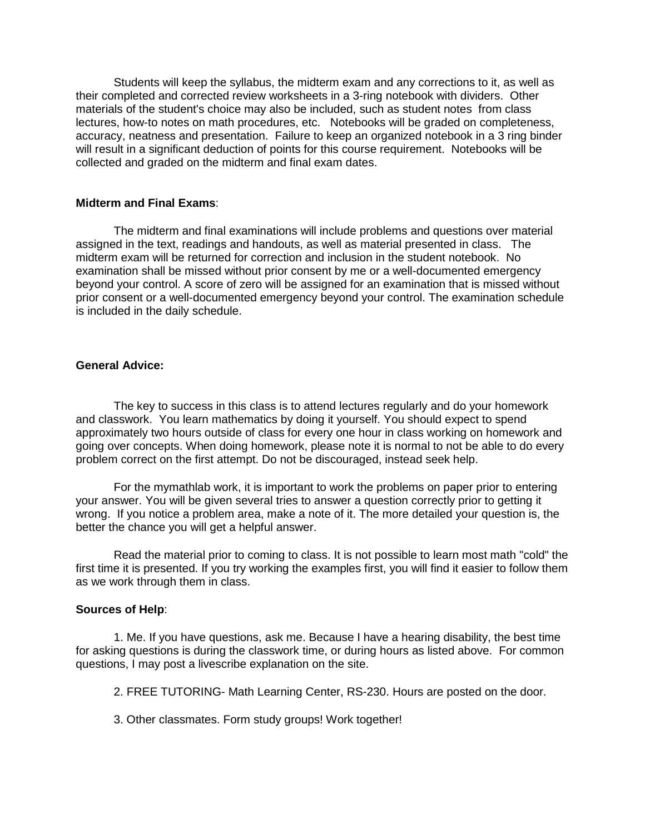Students will keep the syllabus, the midterm exam and any corrections to it, as well as their completed and corrected review worksheets in a 3-ring notebook with dividers. Other materials of the student's choice may also be included, such as student notes from class lectures, how-to notes on math procedures, etc. Notebooks will be graded on completeness, accuracy, neatness and presentation. Failure to keep an organized notebook in a 3 ring binder will result in a significant deduction of points for this course requirement. Notebooks will be collected and graded on the midterm and final exam dates.

## **Midterm and Final Exams**:

The midterm and final examinations will include problems and questions over material assigned in the text, readings and handouts, as well as material presented in class. The midterm exam will be returned for correction and inclusion in the student notebook. No examination shall be missed without prior consent by me or a well-documented emergency beyond your control. A score of zero will be assigned for an examination that is missed without prior consent or a well-documented emergency beyond your control. The examination schedule is included in the daily schedule.

### **General Advice:**

The key to success in this class is to attend lectures regularly and do your homework and classwork. You learn mathematics by doing it yourself. You should expect to spend approximately two hours outside of class for every one hour in class working on homework and going over concepts. When doing homework, please note it is normal to not be able to do every problem correct on the first attempt. Do not be discouraged, instead seek help.

For the mymathlab work, it is important to work the problems on paper prior to entering your answer. You will be given several tries to answer a question correctly prior to getting it wrong. If you notice a problem area, make a note of it. The more detailed your question is, the better the chance you will get a helpful answer.

Read the material prior to coming to class. It is not possible to learn most math "cold" the first time it is presented. If you try working the examples first, you will find it easier to follow them as we work through them in class.

### **Sources of Help**:

1. Me. If you have questions, ask me. Because I have a hearing disability, the best time for asking questions is during the classwork time, or during hours as listed above. For common questions, I may post a livescribe explanation on the site.

2. FREE TUTORING- Math Learning Center, RS-230. Hours are posted on the door.

3. Other classmates. Form study groups! Work together!